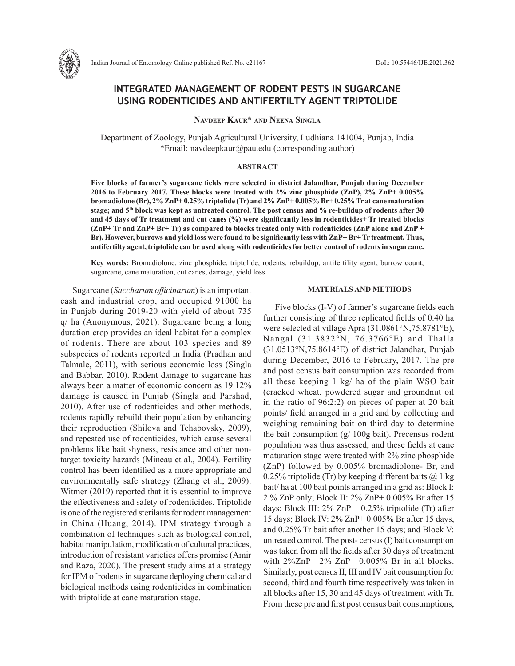

# **INTEGRATED MANAGEMENT OF RODENT PESTS IN SUGARCANE USING RODENTICIDES AND ANTIFERTILTY AGENT TRIPTOLIDE**

**Navdeep Kaur\* and Neena Singla**

Department of Zoology, Punjab Agricultural University, Ludhiana 141004, Punjab, India \*Email: navdeepkaur@pau.edu (corresponding author)

#### **ABSTRACT**

**Five blocks of farmer's sugarcane fields were selected in district Jalandhar, Punjab during December 2016 to February 2017. These blocks were treated with 2% zinc phosphide (ZnP), 2% ZnP+ 0.005% bromadiolone (Br), 2% ZnP+ 0.25% triptolide (Tr) and 2% ZnP+ 0.005% Br+ 0.25% Tr at cane maturation stage; and 5th block was kept as untreated control. The post census and % re-buildup of rodents after 30 and 45 days of Tr treatment and cut canes (%) were significantly less in rodenticides+ Tr treated blocks (ZnP+ Tr and ZnP+ Br+ Tr) as compared to blocks treated only with rodenticides (ZnP alone and ZnP + Br). However, burrows and yield loss were found to be significantly less with ZnP+ Br+ Tr treatment. Thus, antifertilty agent, triptolide can be used along with rodenticides for better control of rodents in sugarcane.**

**Key words:** Bromadiolone, zinc phosphide, triptolide, rodents, rebuildup, antifertility agent, burrow count, sugarcane, cane maturation, cut canes, damage, yield loss

Sugarcane (*Saccharum officinarum*) is an important cash and industrial crop, and occupied 91000 ha in Punjab during 2019-20 with yield of about 735 q/ ha (Anonymous, 2021). Sugarcane being a long duration crop provides an ideal habitat for a complex of rodents. There are about 103 species and 89 subspecies of rodents reported in India (Pradhan and Talmale, 2011), with serious economic loss (Singla and Babbar, 2010). Rodent damage to sugarcane has always been a matter of economic concern as 19.12% damage is caused in Punjab (Singla and Parshad, 2010). After use of rodenticides and other methods, rodents rapidly rebuild their population by enhancing their reproduction (Shilova and Tchabovsky, 2009), and repeated use of rodenticides, which cause several problems like bait shyness, resistance and other nontarget toxicity hazards (Mineau et al., 2004). Fertility control has been identified as a more appropriate and environmentally safe strategy (Zhang et al., 2009). Witmer (2019) reported that it is essential to improve the effectiveness and safety of rodenticides. Triptolide is one of the registered sterilants for rodent management in China (Huang, 2014). IPM strategy through a combination of techniques such as biological control, habitat manipulation, modification of cultural practices, introduction of resistant varieties offers promise (Amir and Raza, 2020). The present study aims at a strategy for IPM of rodents in sugarcane deploying chemical and biological methods using rodenticides in combination with triptolide at cane maturation stage.

### **MATERIALS AND METHODS**

Five blocks (I-V) of farmer's sugarcane fields each further consisting of three replicated fields of 0.40 ha were selected at village Apra (31.0861°N,75.8781°E), Nangal (31.3832°N, 76.3766°E) and Thalla (31.0513°N,75.8614°E) of district Jalandhar, Punjab during December, 2016 to February, 2017. The pre and post census bait consumption was recorded from all these keeping 1 kg/ ha of the plain WSO bait (cracked wheat, powdered sugar and groundnut oil in the ratio of 96:2:2) on pieces of paper at 20 bait points/ field arranged in a grid and by collecting and weighing remaining bait on third day to determine the bait consumption (g/ 100g bait). Precensus rodent population was thus assessed, and these fields at cane maturation stage were treated with 2% zinc phosphide (ZnP) followed by 0.005% bromadiolone- Br, and 0.25% triptolide (Tr) by keeping different baits  $\omega$  1 kg bait/ ha at 100 bait points arranged in a grid as: Block I: 2 % ZnP only; Block II: 2% ZnP+ 0.005% Br after 15 days; Block III:  $2\%$  ZnP + 0.25% triptolide (Tr) after 15 days; Block IV: 2% ZnP+ 0.005% Br after 15 days, and 0.25% Tr bait after another 15 days; and Block V: untreated control. The post- census (I) bait consumption was taken from all the fields after 30 days of treatment with  $2\sqrt{2}nP+ 2\%$  ZnP+ 0.005% Br in all blocks. Similarly, post census II, III and IV bait consumption for second, third and fourth time respectively was taken in all blocks after 15, 30 and 45 days of treatment with Tr. From these pre and first post census bait consumptions,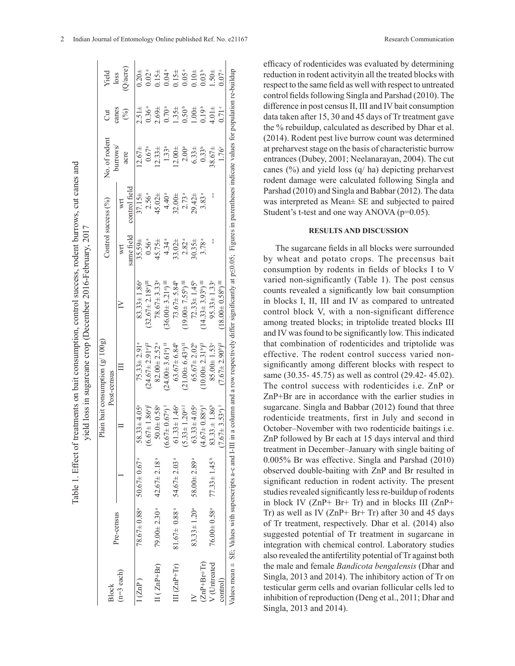|                   |                               |                                                             |                                |                                                  | yield loss in sugarcane crop (December 2016-February, 2017                                                                                                                                              |                   |                     |                   |                 |                         |
|-------------------|-------------------------------|-------------------------------------------------------------|--------------------------------|--------------------------------------------------|---------------------------------------------------------------------------------------------------------------------------------------------------------------------------------------------------------|-------------------|---------------------|-------------------|-----------------|-------------------------|
| <b>Block</b>      |                               |                                                             |                                | Plain bait consumption $(g/100g)$<br>Post-census |                                                                                                                                                                                                         |                   | Control success (%) | No. of rodent     | J               | Yield                   |
| $(n=3$ each)      | Pre-census                    |                                                             |                                |                                                  |                                                                                                                                                                                                         | same field<br>īΙ  | control field<br>F  | burrows/<br>acre  | canes<br>$(\%)$ | $Q/\text{acre}$<br>loss |
| (ZnP)             |                               | $78.67 \pm 0.88$ <sup>a</sup> 50.67 $\pm$ 0.67 <sup>a</sup> | $58.33 \pm 4.05^{\circ}$       | $75.33 \pm 2.91$ <sup>a</sup>                    | $83.33 \pm 1.86^a$                                                                                                                                                                                      | $35.59\pm$        | $37.15 \pm$         | $12.67\pm$        | $2.51 \pm$      | 0.204                   |
|                   |                               |                                                             | $(6.67 \pm 1.86)$ <sup>1</sup> | $24.67 \pm 2.91$ <sup>a</sup> ) <sup>II</sup>    | $(32.67 \pm 2.18)$ <sup>III</sup>                                                                                                                                                                       | 0.56a             | 2.56a               | $0.67^{\rm a}$    | $0.36^{a}$      | 0.02 <sup>a</sup>       |
| $II(ZnP+Br)$      |                               | $79.00 \pm 2.30^{\circ}$ 42.67 $\pm 2.18^{\circ}$           | $50.0 \pm 0.58$ <sup>a</sup>   | $82.00 \pm 2.52$ <sup>a</sup>                    | $78.67 \pm 3.33$ <sup>a</sup>                                                                                                                                                                           | 45.75 $\pm$       | 45.02 $\pm$         | $2.33 +$          | $2.69 +$        | $0.15 \pm$              |
|                   |                               |                                                             | $(6.67 \pm 0.67)$ <sup>1</sup> | $24.00 \pm 3.61$ <sup>a</sup> ) <sup>II</sup>    | $(36.00 \pm 3.21)$ <sup>III</sup>                                                                                                                                                                       | 4.34a             | 4.40 <sup>a</sup>   | 1.33 <sup>a</sup> | $0.70^{a}$      | 0.04a                   |
| $III (ZnP+Tr)$    | $81.67 \pm 0.88^{\circ}$      | $54.67 \pm 2.03$ <sup>a</sup>                               | $61.33 \pm 1.46^a$             | $63.67 \pm 6.84$ <sup>b</sup>                    | $73.67 \pm 5.84$ <sup>b</sup>                                                                                                                                                                           | $33.02\pm$        | $32.00 +$           | $12.00 +$         | $1.35 \pm$      | 0.15 <sup>±</sup>       |
|                   |                               |                                                             | $5.33 \pm 1.20$ <sup>a)</sup>  | $(21.00 \pm 6.43)$ <sup>II</sup>                 | $19.00 \pm 7.55^{\circ}$                                                                                                                                                                                | 2.82 <sup>a</sup> | 2.73 <sup>a</sup>   | $2.00^{a}$        | $0.50^{b}$      | 0.05a                   |
|                   | $83.33 \pm 1.20^a$            | $58.00 \pm 2.89^{\rm a}$                                    | $63.33 \pm 4.05^a$             | $65.67 \pm 2.02^b$                               | $72.33 \pm 1.45^{\circ}$                                                                                                                                                                                | $30.35 \pm$       | $29.42 \pm$         | $6.33 \pm$        | $+00.1$         | 0.104                   |
| $(ZnP + Br + Tr)$ |                               |                                                             | $57\pm0.88^{a}$                | $10.00 + 2.31^{b}$ <sup>II</sup>                 | $14.33 \pm 3.93$ <sup>b</sup> ) <sup>III</sup>                                                                                                                                                          | 3.78 <sup>a</sup> | 3.83 <sup>a</sup>   | $0.33^{b}$        | $0.19^{b}$      | 0.03 <sup>b</sup>       |
| V (Untreated      | $76.00 \pm 0.58$ <sup>2</sup> | $77.33 \pm 1.45^{\circ}$                                    | $83.33 \pm 1.86^b$             | $85.00 \pm 1.53$                                 | $95.33 \pm 1.33$                                                                                                                                                                                        |                   |                     | $38.67 \pm$       | $4.01 \pm$      | $1.50 \pm$              |
| control)          |                               |                                                             | $(7.67 \pm 3.53)$ <sup>1</sup> | $(7.67 \pm 2.90)$ <sup>II</sup>                  | $18.00 \pm 0.58$ <sup>n</sup>                                                                                                                                                                           |                   |                     | 1.76°             | $0.71$ $\circ$  | 0.07 <sup>c</sup>       |
|                   |                               |                                                             |                                |                                                  | Values mean $\pm$ SE; Values with superscripts a-c and I-III in a column and a row respectively differ significantly at p $\leq$ 0.05; Figures in parentheses indicate values for population re-buildup |                   |                     |                   |                 |                         |

Table 1. Effect of treatments on bait consumption, control success, rodent burrows, cut canes and

Table 1. Effect of treatments on bait consumption, control success, rodent burrows, cut canes and

efficacy of rodenticides was evaluated by determining reduction in rodent activityin all the treated blocks with respect to the same field as well with respect to untreated control fields following Singla and Parshad (2010). The difference in post census II, III and IV bait consumption data taken after 15, 30 and 45 days of Tr treatment gave the % rebuildup, calculated as described by Dhar et al. (2014). Rodent pest live burrow count was determined at preharvest stage on the basis of characteristic burrow entrances (Dubey, 2001; Neelanarayan, 2004). The cut canes (%) and yield loss (q/ ha) depicting preharvest rodent damage were calculated following Singla and Parshad (2010) and Singla and Babbar (2012). The data was interpreted as Mean± SE and subjected to paired Student's t-test and one way ANOVA (p=0.05).

#### **RESULTS AND DISCUSSION**

The sugarcane fields in all blocks were surrounded by wheat and potato crops. The precensus bait consumption by rodents in fields of blocks I to V varied non-significantly (Table 1). The post census counts revealed a significantly low bait consumption in blocks I, II, III and IV as compared to untreated control block V, with a non-significant difference among treated blocks; in triptolide treated blocks III and IV was found to be significantly low. This indicated that combination of rodenticides and triptolide was effective. The rodent control success varied nonsignificantly among different blocks with respect to same (30.35- 45.75) as well as control (29.42- 45.02). The control success with rodenticides i.e. ZnP or ZnP+Br are in accordance with the earlier studies in sugarcane. Singla and Babbar (2012) found that three rodenticide treatments, first in July and second in October–November with two rodenticide baitings i.e. ZnP followed by Br each at 15 days interval and third treatment in December–January with single baiting of 0.005% Br was effective. Singla and Parshad (2010) observed double-baiting with ZnP and Br resulted in significant reduction in rodent activity. The present studies revealed significantly less re-buildup of rodents in block IV (ZnP+ Br+ Tr) and in blocks III (ZnP+ Tr) as well as IV (ZnP+ Br+ Tr) after 30 and 45 days of Tr treatment, respectively. Dhar et al. (2014) also suggested potential of Tr treatment in sugarcane in integration with chemical control. Laboratory studies also revealed the antifertility potential of Tr against both the male and female *Bandicota bengalensis* (Dhar and Singla, 2013 and 2014). The inhibitory action of Tr on testicular germ cells and ovarian follicular cells led to inhibition of reproduction (Deng et al., 2011; Dhar and Singla, 2013 and 2014).